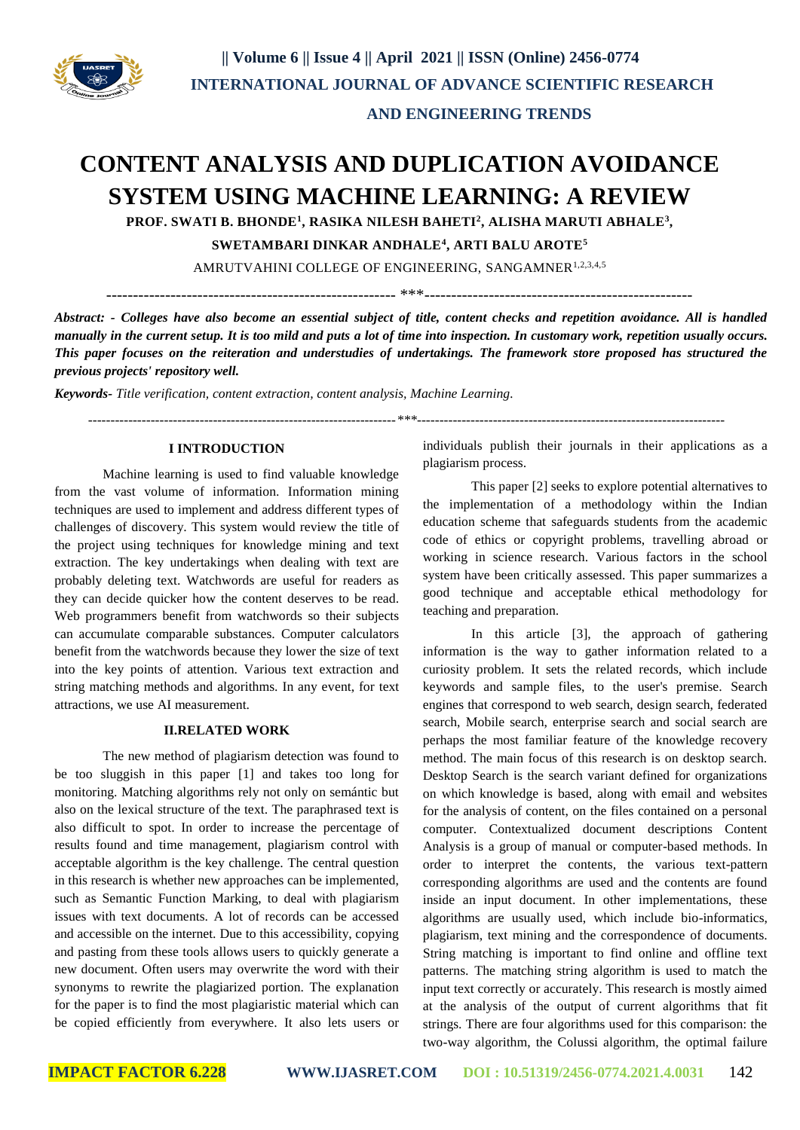

# **AND ENGINEERING TRENDS**

# **CONTENT ANALYSIS AND DUPLICATION AVOIDANCE SYSTEM USING MACHINE LEARNING: A REVIEW**

**PROF. SWATI B. BHONDE<sup>1</sup> , RASIKA NILESH BAHETI<sup>2</sup> , ALISHA MARUTI ABHALE<sup>3</sup> ,**

**SWETAMBARI DINKAR ANDHALE<sup>4</sup> , ARTI BALU AROTE<sup>5</sup>**

AMRUTVAHINI COLLEGE OF ENGINEERING, SANGAMNER<sup>1,2,3,4,5</sup>

------------------------------------------------------ \*\*\*--------------------------------------------------

*Abstract: - Colleges have also become an essential subject of title, content checks and repetition avoidance. All is handled manually in the current setup. It is too mild and puts a lot of time into inspection. In customary work, repetition usually occurs. This paper focuses on the reiteration and understudies of undertakings. The framework store proposed has structured the previous projects' repository well.*

*Keywords- Title verification, content extraction, content analysis, Machine Learning.*

 *---------------------------------------------------------------------\*\*\*---------------------------------------------------------------------*

# **I INTRODUCTION**

Machine learning is used to find valuable knowledge from the vast volume of information. Information mining techniques are used to implement and address different types of challenges of discovery. This system would review the title of the project using techniques for knowledge mining and text extraction. The key undertakings when dealing with text are probably deleting text. Watchwords are useful for readers as they can decide quicker how the content deserves to be read. Web programmers benefit from watchwords so their subjects can accumulate comparable substances. Computer calculators benefit from the watchwords because they lower the size of text into the key points of attention. Various text extraction and string matching methods and algorithms. In any event, for text attractions, we use AI measurement.

### **II.RELATED WORK**

The new method of plagiarism detection was found to be too sluggish in this paper [1] and takes too long for monitoring. Matching algorithms rely not only on semántic but also on the lexical structure of the text. The paraphrased text is also difficult to spot. In order to increase the percentage of results found and time management, plagiarism control with acceptable algorithm is the key challenge. The central question in this research is whether new approaches can be implemented, such as Semantic Function Marking, to deal with plagiarism issues with text documents. A lot of records can be accessed and accessible on the internet. Due to this accessibility, copying and pasting from these tools allows users to quickly generate a new document. Often users may overwrite the word with their synonyms to rewrite the plagiarized portion. The explanation for the paper is to find the most plagiaristic material which can be copied efficiently from everywhere. It also lets users or

individuals publish their journals in their applications as a plagiarism process.

This paper [2] seeks to explore potential alternatives to the implementation of a methodology within the Indian education scheme that safeguards students from the academic code of ethics or copyright problems, travelling abroad or working in science research. Various factors in the school system have been critically assessed. This paper summarizes a good technique and acceptable ethical methodology for teaching and preparation.

In this article [3], the approach of gathering information is the way to gather information related to a curiosity problem. It sets the related records, which include keywords and sample files, to the user's premise. Search engines that correspond to web search, design search, federated search, Mobile search, enterprise search and social search are perhaps the most familiar feature of the knowledge recovery method. The main focus of this research is on desktop search. Desktop Search is the search variant defined for organizations on which knowledge is based, along with email and websites for the analysis of content, on the files contained on a personal computer. Contextualized document descriptions Content Analysis is a group of manual or computer-based methods. In order to interpret the contents, the various text-pattern corresponding algorithms are used and the contents are found inside an input document. In other implementations, these algorithms are usually used, which include bio-informatics, plagiarism, text mining and the correspondence of documents. String matching is important to find online and offline text patterns. The matching string algorithm is used to match the input text correctly or accurately. This research is mostly aimed at the analysis of the output of current algorithms that fit strings. There are four algorithms used for this comparison: the two-way algorithm, the Colussi algorithm, the optimal failure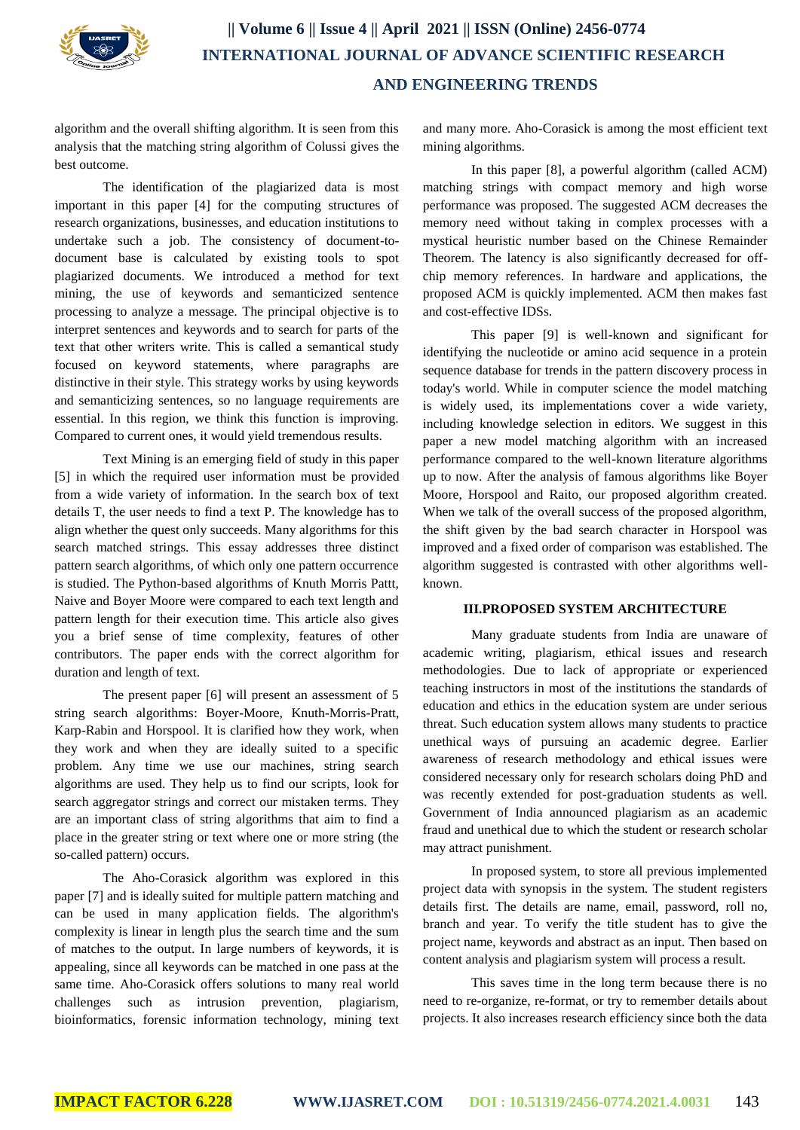

# **|| Volume 6 || Issue 4 || April 2021 || ISSN (Online) 2456-0774 INTERNATIONAL JOURNAL OF ADVANCE SCIENTIFIC RESEARCH AND ENGINEERING TRENDS**

algorithm and the overall shifting algorithm. It is seen from this analysis that the matching string algorithm of Colussi gives the best outcome.

The identification of the plagiarized data is most important in this paper [4] for the computing structures of research organizations, businesses, and education institutions to undertake such a job. The consistency of document-todocument base is calculated by existing tools to spot plagiarized documents. We introduced a method for text mining, the use of keywords and semanticized sentence processing to analyze a message. The principal objective is to interpret sentences and keywords and to search for parts of the text that other writers write. This is called a semantical study focused on keyword statements, where paragraphs are distinctive in their style. This strategy works by using keywords and semanticizing sentences, so no language requirements are essential. In this region, we think this function is improving. Compared to current ones, it would yield tremendous results.

Text Mining is an emerging field of study in this paper [5] in which the required user information must be provided from a wide variety of information. In the search box of text details T, the user needs to find a text P. The knowledge has to align whether the quest only succeeds. Many algorithms for this search matched strings. This essay addresses three distinct pattern search algorithms, of which only one pattern occurrence is studied. The Python-based algorithms of Knuth Morris Pattt, Naive and Boyer Moore were compared to each text length and pattern length for their execution time. This article also gives you a brief sense of time complexity, features of other contributors. The paper ends with the correct algorithm for duration and length of text.

The present paper [6] will present an assessment of 5 string search algorithms: Boyer-Moore, Knuth-Morris-Pratt, Karp-Rabin and Horspool. It is clarified how they work, when they work and when they are ideally suited to a specific problem. Any time we use our machines, string search algorithms are used. They help us to find our scripts, look for search aggregator strings and correct our mistaken terms. They are an important class of string algorithms that aim to find a place in the greater string or text where one or more string (the so-called pattern) occurs.

The Aho-Corasick algorithm was explored in this paper [7] and is ideally suited for multiple pattern matching and can be used in many application fields. The algorithm's complexity is linear in length plus the search time and the sum of matches to the output. In large numbers of keywords, it is appealing, since all keywords can be matched in one pass at the same time. Aho-Corasick offers solutions to many real world challenges such as intrusion prevention, plagiarism, bioinformatics, forensic information technology, mining text and many more. Aho-Corasick is among the most efficient text mining algorithms.

In this paper [8], a powerful algorithm (called ACM) matching strings with compact memory and high worse performance was proposed. The suggested ACM decreases the memory need without taking in complex processes with a mystical heuristic number based on the Chinese Remainder Theorem. The latency is also significantly decreased for offchip memory references. In hardware and applications, the proposed ACM is quickly implemented. ACM then makes fast and cost-effective IDSs.

This paper [9] is well-known and significant for identifying the nucleotide or amino acid sequence in a protein sequence database for trends in the pattern discovery process in today's world. While in computer science the model matching is widely used, its implementations cover a wide variety, including knowledge selection in editors. We suggest in this paper a new model matching algorithm with an increased performance compared to the well-known literature algorithms up to now. After the analysis of famous algorithms like Boyer Moore, Horspool and Raito, our proposed algorithm created. When we talk of the overall success of the proposed algorithm, the shift given by the bad search character in Horspool was improved and a fixed order of comparison was established. The algorithm suggested is contrasted with other algorithms wellknown.

#### **III.PROPOSED SYSTEM ARCHITECTURE**

Many graduate students from India are unaware of academic writing, plagiarism, ethical issues and research methodologies. Due to lack of appropriate or experienced teaching instructors in most of the institutions the standards of education and ethics in the education system are under serious threat. Such education system allows many students to practice unethical ways of pursuing an academic degree. Earlier awareness of research methodology and ethical issues were considered necessary only for research scholars doing PhD and was recently extended for post-graduation students as well. Government of India announced plagiarism as an academic fraud and unethical due to which the student or research scholar may attract punishment.

In proposed system, to store all previous implemented project data with synopsis in the system. The student registers details first. The details are name, email, password, roll no, branch and year. To verify the title student has to give the project name, keywords and abstract as an input. Then based on content analysis and plagiarism system will process a result.

This saves time in the long term because there is no need to re-organize, re-format, or try to remember details about projects. It also increases research efficiency since both the data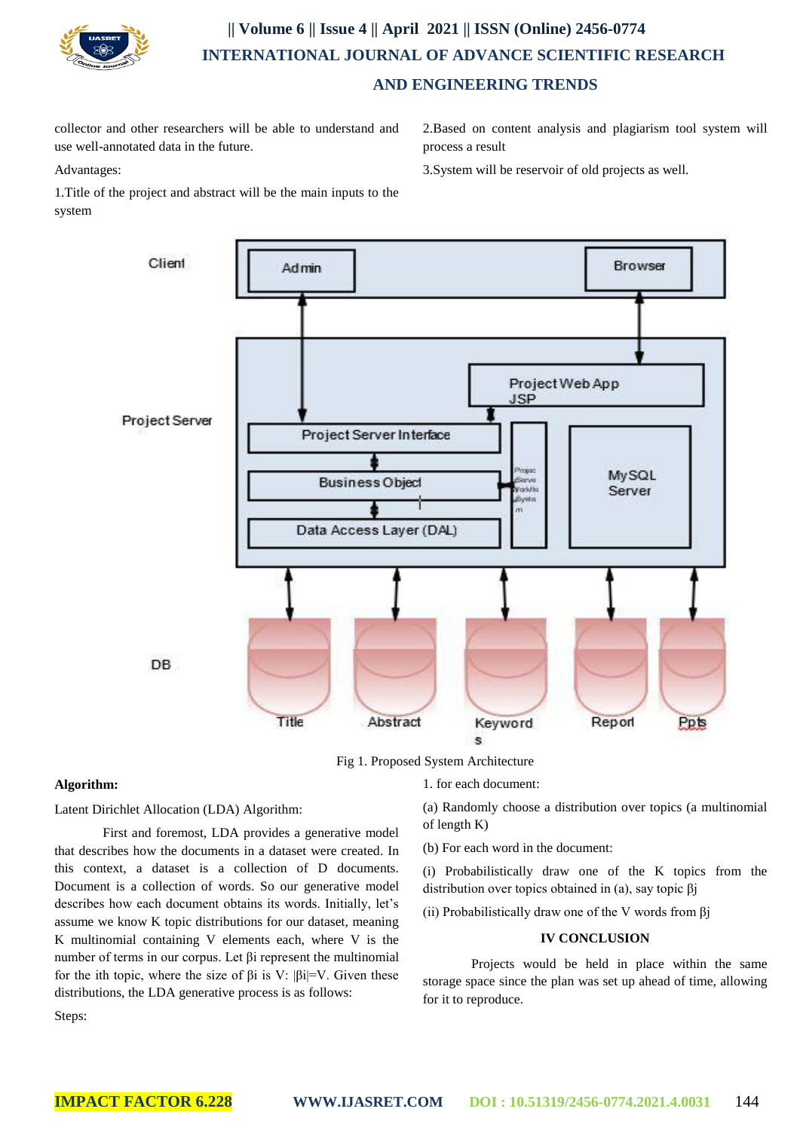

# **|| Volume 6 || Issue 4 || April 2021 || ISSN (Online) 2456-0774 INTERNATIONAL JOURNAL OF ADVANCE SCIENTIFIC RESEARCH AND ENGINEERING TRENDS**

collector and other researchers will be able to understand and use well-annotated data in the future.

Advantages:

2.Based on content analysis and plagiarism tool system will process a result

3.System will be reservoir of old projects as well.

1.Title of the project and abstract will be the main inputs to the system



Fig 1. Proposed System Architecture

## **Algorithm:**

Latent Dirichlet Allocation (LDA) Algorithm:

First and foremost, LDA provides a generative model that describes how the documents in a dataset were created. In this context, a dataset is a collection of D documents. Document is a collection of words. So our generative model describes how each document obtains its words. Initially, let's assume we know K topic distributions for our dataset, meaning K multinomial containing V elements each, where V is the number of terms in our corpus. Let βi represent the multinomial for the ith topic, where the size of  $\beta i$  is V:  $|\beta i|=V$ . Given these distributions, the LDA generative process is as follows:

1. for each document:

(a) Randomly choose a distribution over topics (a multinomial of length K)

(b) For each word in the document:

(i) Probabilistically draw one of the K topics from the distribution over topics obtained in (a), say topic βj

(ii) Probabilistically draw one of the V words from  $\beta$ j

## **IV CONCLUSION**

Projects would be held in place within the same storage space since the plan was set up ahead of time, allowing for it to reproduce.

Steps: